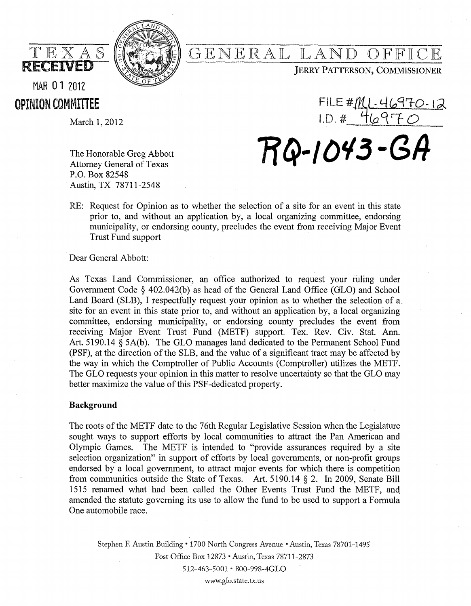

# GENERAL LAND OFFIC

JERRY PATTERSON, COMMISSIONER

MAR 01 2012 OPINION COMMITTEE

**RECEIVED** 

March 1,2012

FILE *#Jlil-* 4&/-(1-0· ((l  $I.D. #$   $4697C$ 

The Honorable Greg Abbott Attorney General of Texas P.O. Box 82548 Austin, TX 78711-2548

- RQ-1043-GA
- RE: Request for Opinion as to whether the selection of a site for an event in this state prior to, and without an application by, a local organizing committee, endorsing municipality, or endorsing county, precludes the event from receiving Major Event Trust Fund support

Dear General Abbott:

As Texas Land Commissioner, an office authorized to request your ruling under Government Code § 402.042(b) as head of the General Land Office (GLO) and School Land Board (SLB), I respectfully request your opinion as to whether the selection of a, site for an event in this state prior to, and without an application by, a local organizing committee, endorsing municipality, or endorsing county precludes the event from receiving Major Event Trust Fund (METF) support. Tex. Rev. Civ. Stat. Ann. Art. 5190.14 § 5A(b). The GLO manages land dedicated to the Permanent School Fund (PSF), at the direction of the SLB, and the value of a significant tract may be affected by the way in which the Comptroller of Public Accounts (Comptroller) utilizes the METF. The GLO requests your opinion in this matter to resolve uncertainty so that the GLO may better maximize the value of this PSF-dedicated property.

#### **Background**

The roots of the METF date to the 76th Regular Legislative Session when the Legislature sought ways to support efforts by local communities to attract the Pan American and Olympic Games. The METF is intended to "provide assurances required by a site selection organization" in support of efforts by local governments, or non-profit groups endorsed by a local government, to attract major events for which there is competition from communities outside the State of Texas. Art. 5190.14 § 2. In 2009, Senate Bill 1515 renamed what had been called the Other Events Trust Fund the METF, anci amended the statute governing its use to allow the fund to be used to support a Formula One automobile race.

Stephen F. Austin Building' 1700 North Congress Avenue' Austin, Texas 78701-1495 Post Office Box 12873 • Austin, Texas 78711-2873 512-463-5001 • 800-998-4GLO

www.glo.state.tx.us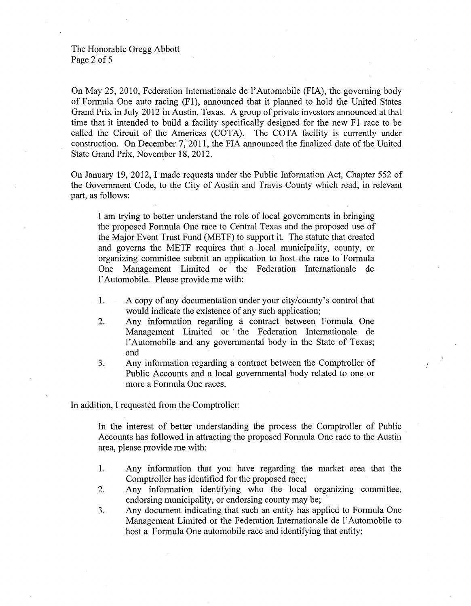The Honorable Gregg Abbott Page 2 of 5

On May 25, 2010, Federation Internationale de l' Automobile (FIA), the governing body of Formula One auto racing (Fl), announced that it planned to hold the United States Grand Prix in July 2012 in Austin, Texas. A group of private investors announced at that time that it intended to build a facility specifically designed for the new FI race to be called the Circuit of the Americas (COTA). The COTA facility is currently under construction. On December 7, 2011, the FIA announced the finalized date of the United State Grand Prix, November 18,2012.

On January 19, 2012, I made requests under the Public Information Act, Chapter 552 of the Government Code, to the City of Austin and Travis County which read, in relevant part, as follows:

I am trying to better understand the role of local governments in bringing the proposed Formula One race to Central Texas and the proposed use of the Major Event Trust Fund (METF) to support it. The statute that created and governs the METF requires that a local municipality, county, or organizing committee submit an application to host the race to' Formula One Management Limited or the Federation Internationale de l' Automobile. Please provide me with:

- 1. A copy of any documentation under your city/county's control that would indicate the existence of any such application;
- 2. Any information regarding a contract between Formula One Management Limited or the Federation Internationale de l' Automobile and any governmental body in the State of Texas; and
- 3. Any information regarding a contract between the Comptroller of Public Accounts and a local governmental body related to one or more a Formula One races.

In addition, I requested from the Comptroller:

In the interest of better understanding the process the Comptroller of Public Accounts has followed in attracting the proposed Formula One race to the Austin area, please provide me with:

- 1. Any information that you have regarding the market area that the Comptroller has identified for the proposed race;
- 2. Any information identifying who the local organizing committee, endorsing municipality, or endorsing county may be;
- 3. Any document indicating that such an entity has applied to Formula One Management Limited or the Federation Internationale de l' Automobile to host a Formula One automobile race and identifying that entity;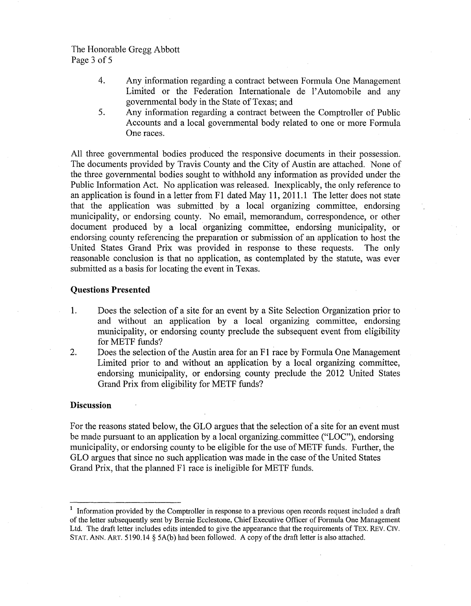## The Honorable Gregg Abbott Page 3 of 5

- 4. Any information regarding a contract between Formula One Management Limited or the Federation Internationale de l' Automobile and any governmental body in the State of Texas; and
- 5. Any information regarding a contract between the Comptroller of Public Accounts and a local governmental body related to one or more Formula One races.

All three governmental bodies produced the responsive documents in their possession. The documents provided by Travis County and the City of Austin are attached. None of the three governmental bodies sought to withhold any information as provided under the Public Information Act. No application was released. Inexplicably, the only reference to an application is found in a letter from F1 dated May  $11$ ,  $2011.1$  The letter does not state that the application was submitted by a local organizing committee, endorsing municipality, or endorsing county. No email, memorandum, correspondence, or other document produced by a local organizing committee, endorsing municipality, or endorsing county referencing the preparation or submission of an application to host the United States Grand Prix was provided in response to these requests. The only reasonable conclusion is that no application, as contemplated by the statute, was ever submitted as a basis for locating the event in Texas.

#### **Questions Presented**

- 1. Does the selection of a site for an event by a Site Selection Organization prior to and without an application by a local organizing committee, endorsing municipality, or endorsing county preclude the subsequent event from eligibility for METF funds?
- 2. Does the selection of the Austin area for an Fl race by Formula One Management Limited prior to and without an application by a local organizing committee, endorsing municipality, or endorsing county preclude the 2012 United States Grand Prix from eligibility for METF funds?

#### **Discussion**

For the reasons stated below, the GLO argues that the selection of a site for an event must be made pursuant to an application by a local organizing. committee ("LOC"), endorsing municipality, or endorsing county to be eligible for the use of METF funds. Further, the GLO argues that since no such application was made in the case of the United States Grand Prix, that the planned FI race is ineligible for METF funds.

<sup>&</sup>lt;sup>1</sup> Information provided by the Comptroller in response to a previous open records request included a draft of the letter subsequently sent by Bernie Ecclestone, Chief Executive Officer of Formula One Management Ltd. The draft letter includes edits intended to give the appearance that the requirements of TEX. REv. CIV. STAT. ANN. ART. 5190.14 § 5A(b) had been followed. A copy of the draft letter is also attached.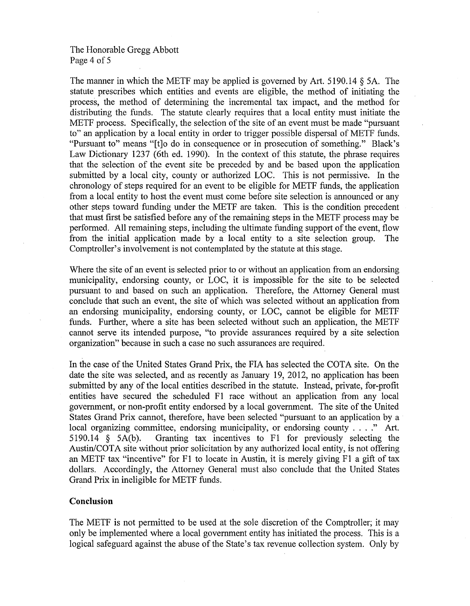### The Honorable Gregg Abbott Page 4 of 5

The manner in which the METF may be applied is governed by Art. 5190.14 § 5A. The statute prescribes which entities and events are eligible, the method of initiating the process, the method of determining the incremental tax impact, and the method for distributing the funds. The statute clearly requires that a local entity must initiate the METF process. Specifically, the selection of the site of an event must be made "pursuant to" an application by a local entity in order to trigger possible dispersal of METF funds. "Pursuant to" means "[t]o do in consequence or in prosecution of something." Black's Law Dictionary 1237 (6th ed. 1990). In the context of this statute, the phrase requires that the selection of the event site be preceded by and be based upon the application submitted by a local city, county or authorized LOC. This is not permissive. In the chronology of steps required for an event to be eligible for METF funds, the application from a local entity to host the event must come before site selection is announced or any other steps toward· funding under the METF are taken. This is the condition precedent that must first be satisfied before any of the remaining steps in the METF process may be performed. All remaining steps, including the ultimate funding support of the event, flow from the initial application made by a local entity to a site selection group. The Comptroller's involvement is not contemplated by the statute at this stage.

Where the site of an event is selected prior to or without an application from an endorsing municipality, endorsing county, or LOC, it is impossible for the site to be selected pursuant to and based on such an application. Therefore, the Attorney General must conclude that such an event, the site of which was selected without an application from an endorsing municipality, endorsing county, or LOC, cannot be eligible for METF funds. Further, where a site has been selected without such an application, the METF cannot serve its intended purpose, "to provide assurances required by a site selection organization" because in such a case no such assurances are required.

In the case of the United States Grand Prix, the FIA has selected the COTA site. On the date the site was selected, and as recently as January 19, 2012, no application has been submitted by any of the local entities described in the statute. Instead, private, for-profit entities have secured the scheduled F1 race without an application from any local government, or non-profit entity endorsed by a local government. The site of the United States Grand Prix cannot, therefore, have been selected "pursuant to an application by a local organizing committee, endorsing municipality, or endorsing county ...." Art.<br>5190.14 § 5A(b). Granting tax incentives to F1 for previously selecting the Granting tax incentives to F1 for previously selecting the Austin/COTA site without prior solicitation by any authorized local entity, is not offering an METF tax "incentive" for F1 to locate in Austin, it is merely giving F1 a gift of tax dollars. Accordingly, the Attorney General must also conclude that the United States Grand Prix in ineligible for METF funds.

#### **Conclusion**

The METF is not permitted to be used at the sole discretion of the Comptroller; it may only be implemented where a local government entity has initiated the process. This is a logical safeguard against the abuse of the State's tax revenue collection system. Only by